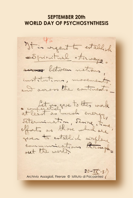# **SEPTEMBER 20th WORLD DAY OF PSYCHOSYNTHESIS**

It is regart to establish conspiratual atinuage. across between nations. institutions, movements and across the continents comparative vive to this work Setermination, Sering, time. efforts as those which are piven to establish airflame communications through  $20-TX-3$ Archivio Assagioli, Firenze © Istituto di Psicosintesi (